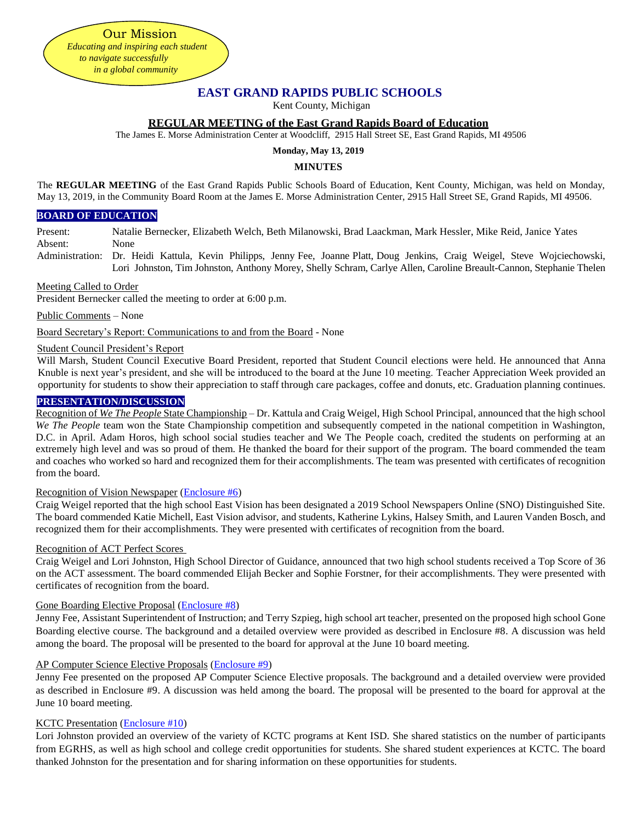**EAST GRAND RAPIDS PUBLIC SCHOOLS**

Kent County, Michigan

## **REGULAR MEETING of the East Grand Rapids Board of Education**

The James E. Morse Administration Center at Woodcliff, 2915 Hall Street SE, East Grand Rapids, MI 49506

# **Monday, May 13, 2019**

### **MINUTES**

The **REGULAR MEETING** of the East Grand Rapids Public Schools Board of Education, Kent County, Michigan, was held on Monday, May 13, 2019, in the Community Board Room at the James E. Morse Administration Center, 2915 Hall Street SE, Grand Rapids, MI 49506.

### **BOARD OF EDUCATION**

Present: Natalie Bernecker, Elizabeth Welch, Beth Milanowski, Brad Laackman, Mark Hessler, Mike Reid, Janice Yates Absent: None

Administration: Dr. Heidi Kattula, Kevin Philipps, Jenny Fee, Joanne Platt, Doug Jenkins, Craig Weigel, Steve Wojciechowski, Lori Johnston, Tim Johnston, Anthony Morey, Shelly Schram, Carlye Allen, Caroline Breault-Cannon, Stephanie Thelen

#### Meeting Called to Order

President Bernecker called the meeting to order at 6:00 p.m.

Our Mission *Educating and inspiring each student to navigate successfully in a global community*

Public Comments – None

Board Secretary's Report: Communications to and from the Board - None

## Student Council President's Report

Will Marsh, Student Council Executive Board President, reported that Student Council elections were held. He announced that Anna Knuble is next year's president, and she will be introduced to the board at the June 10 meeting. Teacher Appreciation Week provided an opportunity for students to show their appreciation to staff through care packages, coffee and donuts, etc. Graduation planning continues.

## **PRESENTATION/DISCUSSION**

Recognition of *We The People* State Championship – Dr. Kattula and Craig Weigel, High School Principal, announced that the high school *We The People* team won the State Championship competition and subsequently competed in the national competition in Washington, D.C. in April. Adam Horos, high school social studies teacher and We The People coach, credited the students on performing at an extremely high level and was so proud of them. He thanked the board for their support of the program. The board commended the team and coaches who worked so hard and recognized them for their accomplishments. The team was presented with certificates of recognition from the board.

## Recognition of Vision Newspaper [\(Enclosure #6\)](https://drive.google.com/file/d/1lwWil5wlLkDcyGIH4o6PYfVEn6-4w_RE/view?usp=sharing)

Craig Weigel reported that the high school East Vision has been designated a 2019 School Newspapers Online (SNO) Distinguished Site. The board commended Katie Michell, East Vision advisor, and students, Katherine Lykins, Halsey Smith, and Lauren Vanden Bosch, and recognized them for their accomplishments. They were presented with certificates of recognition from the board.

## Recognition of ACT Perfect Scores

Craig Weigel and Lori Johnston, High School Director of Guidance, announced that two high school students received a Top Score of 36 on the ACT assessment. The board commended Elijah Becker and Sophie Forstner, for their accomplishments. They were presented with certificates of recognition from the board.

## Gone Boarding Elective Proposal [\(Enclosure #8\)](https://drive.google.com/file/d/1otgtteUZxplMVXHMMvI7KPKuxY1ZmfMs/view?usp=sharing)

Jenny Fee, Assistant Superintendent of Instruction; and Terry Szpieg, high school art teacher, presented on the proposed high school Gone Boarding elective course. The background and a detailed overview were provided as described in Enclosure #8. A discussion was held among the board. The proposal will be presented to the board for approval at the June 10 board meeting.

## AP Computer Science Elective Proposals [\(Enclosure #9\)](https://drive.google.com/file/d/1ouYqqDgtOwlqP9-_x7ahBdak15VgWDt2/view?usp=sharing)

Jenny Fee presented on the proposed AP Computer Science Elective proposals. The background and a detailed overview were provided as described in Enclosure #9. A discussion was held among the board. The proposal will be presented to the board for approval at the June 10 board meeting.

## KCTC Presentation [\(Enclosure #10\)](https://drive.google.com/file/d/1p5Q-eNE2QYHBrmjSvzH8XK7k4GPkunrg/view?usp=sharing)

Lori Johnston provided an overview of the variety of KCTC programs at Kent ISD. She shared statistics on the number of participants from EGRHS, as well as high school and college credit opportunities for students. She shared student experiences at KCTC. The board thanked Johnston for the presentation and for sharing information on these opportunities for students.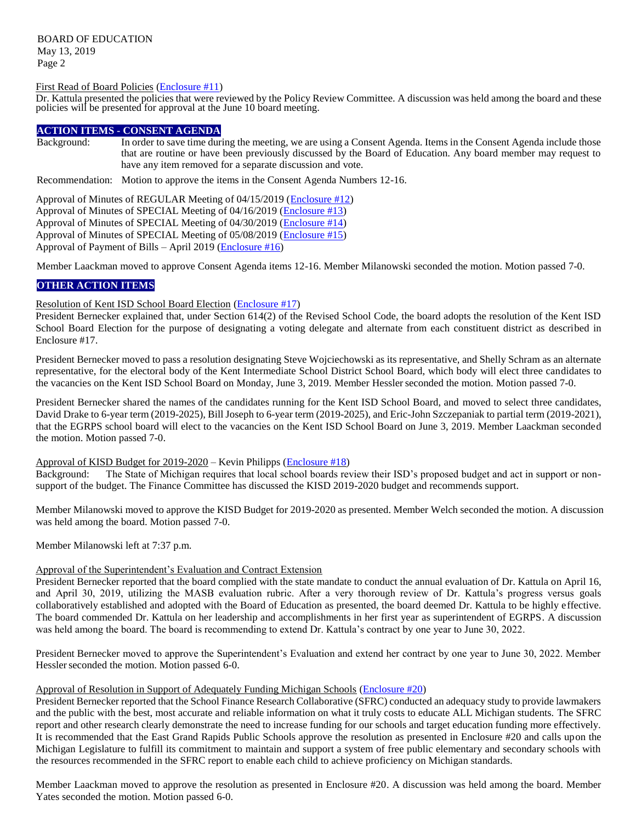BOARD OF EDUCATION May 13, 2019 Page 2

## First Read of Board Policies [\(Enclosure #11\)](https://drive.google.com/file/d/1pASteeAMeuf4aFwAMRwrGvhoHt5E-Qy_/view?usp=sharing)

Dr. Kattula presented the policies that were reviewed by the Policy Review Committee. A discussion was held among the board and these policies will be presented for approval at the June 10 board meeting.

## **ACTION ITEMS - CONSENT AGENDA**

Background: In order to save time during the meeting, we are using a Consent Agenda. Items in the Consent Agenda include those that are routine or have been previously discussed by the Board of Education. Any board member may request to have any item removed for a separate discussion and vote.

Recommendation: Motion to approve the items in the Consent Agenda Numbers 12-16.

Approval of Minutes of REGULAR Meeting of 04/15/2019 [\(Enclosure #12\)](https://drive.google.com/file/d/1oZtX6D-EtVBnoqyMU7BR1qcSS_4zIhlM/view?usp=sharing) Approval of Minutes of SPECIAL Meeting of 04/16/2019 [\(Enclosure #13\)](https://drive.google.com/file/d/1oat_z8K6dZvfDI7vlvO3cj7x6qb3VDpU/view?usp=sharing) Approval of Minutes of SPECIAL Meeting of 04/30/2019 [\(Enclosure #14\)](https://drive.google.com/file/d/1odMTaGPSqv7Ajqd-Wkl1I4bieE_MIZNL/view?usp=sharing) Approval of Minutes of SPECIAL Meeting of 05/08/2019 [\(Enclosure #15\)](https://drive.google.com/file/d/1pRGCjVNACs69sLi_QJA8iEWlsFFWmqTa/view?usp=sharing) Approval of Payment of Bills – April 2019 [\(Enclosure #16\)](https://drive.google.com/file/d/1oGWfOklu5lfER39gO3yhQgrVHhmDwHL7/view?usp=sharing)

Member Laackman moved to approve Consent Agenda items 12-16. Member Milanowski seconded the motion. Motion passed 7-0.

## **OTHER ACTION ITEMS**

#### Resolution of Kent ISD School Board Election [\(Enclosure #17\)](https://drive.google.com/file/d/1o0E4PgMq9oufJOvgSs8Nw97xBqqV97gf/view?usp=sharing)

President Bernecker explained that, under Section 614(2) of the Revised School Code, the board adopts the resolution of the Kent ISD School Board Election for the purpose of designating a voting delegate and alternate from each constituent district as described in Enclosure #17.

President Bernecker moved to pass a resolution designating Steve Wojciechowski as its representative, and Shelly Schram as an alternate representative, for the electoral body of the Kent Intermediate School District School Board, which body will elect three candidates to the vacancies on the Kent ISD School Board on Monday, June 3, 2019. Member Hesslerseconded the motion. Motion passed 7-0.

President Bernecker shared the names of the candidates running for the Kent ISD School Board, and moved to select three candidates, David Drake to 6-year term (2019-2025), Bill Joseph to 6-year term (2019-2025), and Eric-John Szczepaniak to partial term (2019-2021), that the EGRPS school board will elect to the vacancies on the Kent ISD School Board on June 3, 2019. Member Laackman seconded the motion. Motion passed 7-0.

## Approval of KISD Budget for 2019-2020 – Kevin Philipps [\(Enclosure #18\)](https://drive.google.com/file/d/1dkhVk8LlnUEphzIH43cPBppAHVJjhMxk/view?usp=sharing)

Background: The State of Michigan requires that local school boards review their ISD's proposed budget and act in support or nonsupport of the budget. The Finance Committee has discussed the KISD 2019-2020 budget and recommends support.

Member Milanowski moved to approve the KISD Budget for 2019-2020 as presented. Member Welch seconded the motion. A discussion was held among the board. Motion passed 7-0.

Member Milanowski left at 7:37 p.m.

## Approval of the Superintendent's Evaluation and Contract Extension

President Bernecker reported that the board complied with the state mandate to conduct the annual evaluation of Dr. Kattula on April 16, and April 30, 2019, utilizing the MASB evaluation rubric. After a very thorough review of Dr. Kattula's progress versus goals collaboratively established and adopted with the Board of Education as presented, the board deemed Dr. Kattula to be highly effective. The board commended Dr. Kattula on her leadership and accomplishments in her first year as superintendent of EGRPS. A discussion was held among the board. The board is recommending to extend Dr. Kattula's contract by one year to June 30, 2022.

President Bernecker moved to approve the Superintendent's Evaluation and extend her contract by one year to June 30, 2022. Member Hessler seconded the motion. Motion passed 6-0.

#### Approval of Resolution in Support of Adequately Funding Michigan Schools [\(Enclosure #20\)](https://drive.google.com/file/d/1ewOD2445GOZwGgqmrCrY7YeuYUgZjHLt/view?usp=sharing)

President Bernecker reported that the School Finance Research Collaborative (SFRC) conducted an adequacy study to provide lawmakers and the public with the best, most accurate and reliable information on what it truly costs to educate ALL Michigan students. The SFRC report and other research clearly demonstrate the need to increase funding for our schools and target education funding more effectively. It is recommended that the East Grand Rapids Public Schools approve the resolution as presented in Enclosure #20 and calls upon the Michigan Legislature to fulfill its commitment to maintain and support a system of free public elementary and secondary schools with the resources recommended in the SFRC report to enable each child to achieve proficiency on Michigan standards.

Member Laackman moved to approve the resolution as presented in Enclosure #20. A discussion was held among the board. Member Yates seconded the motion. Motion passed 6-0.